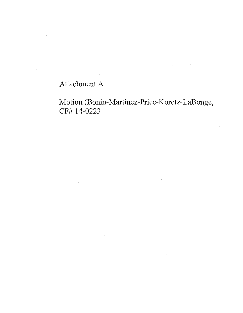## Attachment A

Motion **(Bonin-** Martinez- Price- Koretz- LaBonge, CF# 14-0223